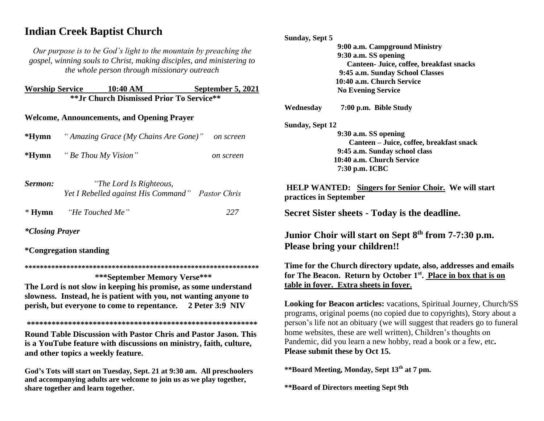# **Indian Creek Baptist Church**

*Our purpose is to be God's light to the mountain by preaching the gospel, winning souls to Christ, making disciples, and ministering to the whole person through missionary outreach*

| <b>Worship Service</b>                    | 10:40 AM | September 5, 2021 |  |  |
|-------------------------------------------|----------|-------------------|--|--|
| ** Jr Church Dismissed Prior To Service** |          |                   |  |  |

### **Welcome, Announcements, and Opening Prayer**

| *Hymn   | " Amazing Grace (My Chains Are Gone)" | on screen |
|---------|---------------------------------------|-----------|
| $*Hymn$ | "Be Thou My Vision"                   | on screen |

| Sermon:  | "The Lord Is Righteous,                          |     |
|----------|--------------------------------------------------|-----|
|          | Yet I Rebelled against His Command" Pastor Chris |     |
| $*$ Hymn | "He Touched Me"                                  | 227 |

*\*Closing Prayer* 

**\*Congregation standing**

**\*\*\*\*\*\*\*\*\*\*\*\*\*\*\*\*\*\*\*\*\*\*\*\*\*\*\*\*\*\*\*\*\*\*\*\*\*\*\*\*\*\*\*\*\*\*\*\*\*\*\*\*\*\*\*\*\*\*\*\*\*\***

 **\*\*\*September Memory Verse\*\*\* The Lord is not slow in keeping his promise, as some understand slowness. Instead, he is patient with you, not wanting anyone to perish, but everyone to come to repentance. 2 Peter 3:9 NIV** 

**\*\*\*\*\*\*\*\*\*\*\*\*\*\*\*\*\*\*\*\*\*\*\*\*\*\*\*\*\*\*\*\*\*\*\*\*\*\*\*\*\*\*\*\*\*\*\*\*\*\*\*\*\*\*\*\* Round Table Discussion with Pastor Chris and Pastor Jason. This is a YouTube feature with discussions on ministry, faith, culture, and other topics a weekly feature.**

**God's Tots will start on Tuesday, Sept. 21 at 9:30 am. All preschoolers and accompanying adults are welcome to join us as we play together, share together and learn together.**

| <b>Sunday, Sept 5</b>                                                                                                                                                                     |                                                                                                                                                                                                                                                                                                                                                                        |  |
|-------------------------------------------------------------------------------------------------------------------------------------------------------------------------------------------|------------------------------------------------------------------------------------------------------------------------------------------------------------------------------------------------------------------------------------------------------------------------------------------------------------------------------------------------------------------------|--|
|                                                                                                                                                                                           | 9:00 a.m. Campground Ministry                                                                                                                                                                                                                                                                                                                                          |  |
|                                                                                                                                                                                           | 9:30 a.m. SS opening                                                                                                                                                                                                                                                                                                                                                   |  |
|                                                                                                                                                                                           | Canteen- Juice, coffee, breakfast snacks                                                                                                                                                                                                                                                                                                                               |  |
|                                                                                                                                                                                           | 9:45 a.m. Sunday School Classes                                                                                                                                                                                                                                                                                                                                        |  |
|                                                                                                                                                                                           | 10:40 a.m. Church Service                                                                                                                                                                                                                                                                                                                                              |  |
|                                                                                                                                                                                           | <b>No Evening Service</b>                                                                                                                                                                                                                                                                                                                                              |  |
| Wednesday                                                                                                                                                                                 | 7:00 p.m. Bible Study                                                                                                                                                                                                                                                                                                                                                  |  |
| <b>Sunday, Sept 12</b>                                                                                                                                                                    |                                                                                                                                                                                                                                                                                                                                                                        |  |
|                                                                                                                                                                                           | 9:30 a.m. SS opening                                                                                                                                                                                                                                                                                                                                                   |  |
|                                                                                                                                                                                           | Canteen - Juice, coffee, breakfast snack                                                                                                                                                                                                                                                                                                                               |  |
|                                                                                                                                                                                           | 9:45 a.m. Sunday school class                                                                                                                                                                                                                                                                                                                                          |  |
|                                                                                                                                                                                           | 10:40 a.m. Church Service                                                                                                                                                                                                                                                                                                                                              |  |
|                                                                                                                                                                                           | 7:30 p.m. ICBC                                                                                                                                                                                                                                                                                                                                                         |  |
| practices in September                                                                                                                                                                    | <b>HELP WANTED:</b> Singers for Senior Choir. We will start                                                                                                                                                                                                                                                                                                            |  |
|                                                                                                                                                                                           | Secret Sister sheets - Today is the deadline.                                                                                                                                                                                                                                                                                                                          |  |
|                                                                                                                                                                                           | Junior Choir will start on Sept 8 <sup>th</sup> from 7-7:30 p.m.<br><b>Please bring your children!!</b>                                                                                                                                                                                                                                                                |  |
| Time for the Church directory update, also, addresses and emails<br>for The Beacon. Return by October 1 <sup>st</sup> . Place in box that is on<br>table in foyer. Extra sheets in foyer. |                                                                                                                                                                                                                                                                                                                                                                        |  |
|                                                                                                                                                                                           | <b>Looking for Beacon articles:</b> vacations, Spiritual Journey, Church/SS<br>programs, original poems (no copied due to copyrights), Story about a<br>person's life not an obituary (we will suggest that readers go to funeral<br>home websites, these are well written), Children's thoughts on<br>Pandemic, did you learn a new hobby, read a book or a few, etc. |  |

**Please submit these by Oct 15.**

**\*\*Board Meeting, Monday, Sept 13th at 7 pm.**

**\*\*Board of Directors meeting Sept 9th**